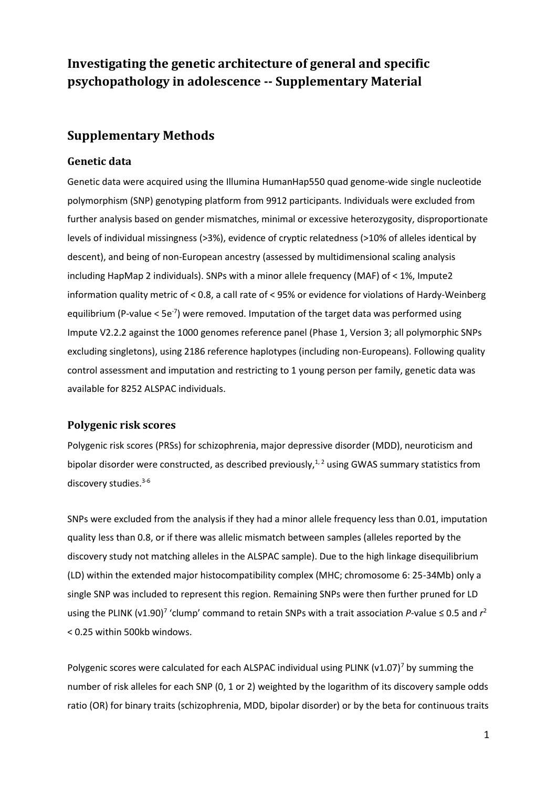# **Investigating the genetic architecture of general and specific psychopathology in adolescence -- Supplementary Material**

## **Supplementary Methods**

### **Genetic data**

Genetic data were acquired using the Illumina HumanHap550 quad genome-wide single nucleotide polymorphism (SNP) genotyping platform from 9912 participants. Individuals were excluded from further analysis based on gender mismatches, minimal or excessive heterozygosity, disproportionate levels of individual missingness (>3%), evidence of cryptic relatedness (>10% of alleles identical by descent), and being of non-European ancestry (assessed by multidimensional scaling analysis including HapMap 2 individuals). SNPs with a minor allele frequency (MAF) of < 1%, Impute2 information quality metric of < 0.8, a call rate of < 95% or evidence for violations of Hardy-Weinberg equilibrium (P-value < 5e<sup>-7</sup>) were removed. Imputation of the target data was performed using Impute V2.2.2 against the 1000 genomes reference panel (Phase 1, Version 3; all polymorphic SNPs excluding singletons), using 2186 reference haplotypes (including non-Europeans). Following quality control assessment and imputation and restricting to 1 young person per family, genetic data was available for 8252 ALSPAC individuals.

### **Polygenic risk scores**

Polygenic risk scores (PRSs) for schizophrenia, major depressive disorder (MDD), neuroticism and bipolar disorder were constructed, as described previously, $^{1,2}$  using GWAS summary statistics from discovery studies. 3-6

SNPs were excluded from the analysis if they had a minor allele frequency less than 0.01, imputation quality less than 0.8, or if there was allelic mismatch between samples (alleles reported by the discovery study not matching alleles in the ALSPAC sample). Due to the high linkage disequilibrium (LD) within the extended major histocompatibility complex (MHC; chromosome 6: 25-34Mb) only a single SNP was included to represent this region. Remaining SNPs were then further pruned for LD using the PLINK (v1.90)<sup>7</sup> 'clump' command to retain SNPs with a trait association *P*-value ≤ 0.5 and  $r^2$ < 0.25 within 500kb windows.

Polygenic scores were calculated for each ALSPAC individual using PLINK (v1.07)<sup>7</sup> by summing the number of risk alleles for each SNP (0, 1 or 2) weighted by the logarithm of its discovery sample odds ratio (OR) for binary traits (schizophrenia, MDD, bipolar disorder) or by the beta for continuous traits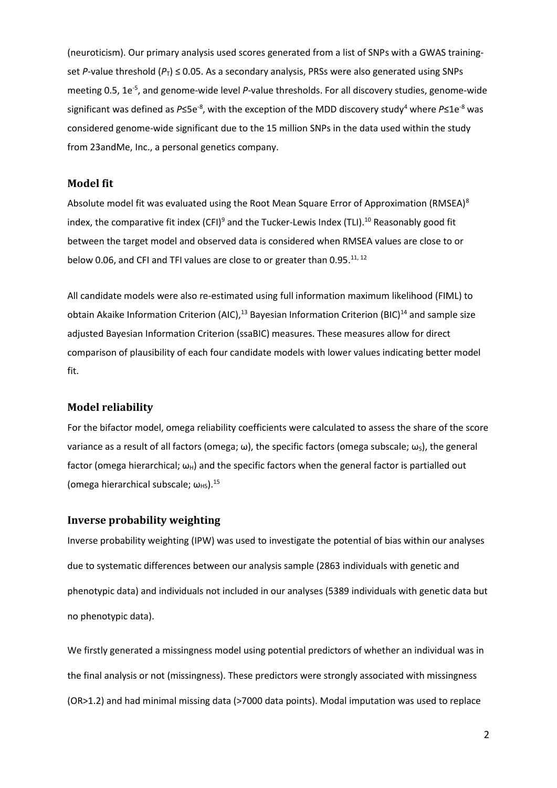(neuroticism). Our primary analysis used scores generated from a list of SNPs with a GWAS trainingset *P*-value threshold ( $P_T$ )  $\leq$  0.05. As a secondary analysis, PRSs were also generated using SNPs meeting 0.5, 1e<sup>-5</sup>, and genome-wide level P-value thresholds. For all discovery studies, genome-wide significant was defined as P≤5e<sup>-8</sup>, with the exception of the MDD discovery study<sup>4</sup> where P≤1e<sup>-8</sup> was considered genome-wide significant due to the 15 million SNPs in the data used within the study from 23andMe, Inc., a personal genetics company.

### **Model fit**

Absolute model fit was evaluated using the Root Mean Square Error of Approximation (RMSEA) $8$ index, the comparative fit index (CFI)<sup>9</sup> and the Tucker-Lewis Index (TLI).<sup>10</sup> Reasonably good fit between the target model and observed data is considered when RMSEA values are close to or below 0.06, and CFI and TFI values are close to or greater than 0.95.<sup>11, 12</sup>

All candidate models were also re-estimated using full information maximum likelihood (FIML) to obtain Akaike Information Criterion (AIC),<sup>13</sup> Bayesian Information Criterion (BIC)<sup>14</sup> and sample size adjusted Bayesian Information Criterion (ssaBIC) measures. These measures allow for direct comparison of plausibility of each four candidate models with lower values indicating better model fit.

#### **Model reliability**

For the bifactor model, omega reliability coefficients were calculated to assess the share of the score variance as a result of all factors (omega;  $\omega$ ), the specific factors (omega subscale;  $\omega_s$ ), the general factor (omega hierarchical;  $\omega_{H}$ ) and the specific factors when the general factor is partialled out (omega hierarchical subscale;  $\omega_{HS}$ ).<sup>15</sup>

#### **Inverse probability weighting**

Inverse probability weighting (IPW) was used to investigate the potential of bias within our analyses due to systematic differences between our analysis sample (2863 individuals with genetic and phenotypic data) and individuals not included in our analyses (5389 individuals with genetic data but no phenotypic data).

We firstly generated a missingness model using potential predictors of whether an individual was in the final analysis or not (missingness). These predictors were strongly associated with missingness (OR>1.2) and had minimal missing data (>7000 data points). Modal imputation was used to replace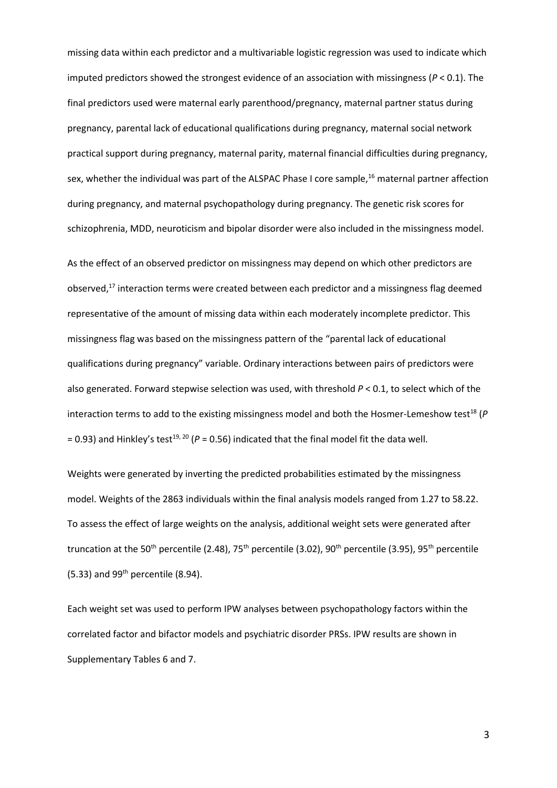missing data within each predictor and a multivariable logistic regression was used to indicate which imputed predictors showed the strongest evidence of an association with missingness (*P* < 0.1). The final predictors used were maternal early parenthood/pregnancy, maternal partner status during pregnancy, parental lack of educational qualifications during pregnancy, maternal social network practical support during pregnancy, maternal parity, maternal financial difficulties during pregnancy, sex, whether the individual was part of the ALSPAC Phase I core sample,<sup>16</sup> maternal partner affection during pregnancy, and maternal psychopathology during pregnancy. The genetic risk scores for schizophrenia, MDD, neuroticism and bipolar disorder were also included in the missingness model.

As the effect of an observed predictor on missingness may depend on which other predictors are observed,<sup>17</sup> interaction terms were created between each predictor and a missingness flag deemed representative of the amount of missing data within each moderately incomplete predictor. This missingness flag was based on the missingness pattern of the "parental lack of educational qualifications during pregnancy" variable. Ordinary interactions between pairs of predictors were also generated. Forward stepwise selection was used, with threshold *P* < 0.1, to select which of the interaction terms to add to the existing missingness model and both the Hosmer-Lemeshow test<sup>18</sup> (P  $= 0.93$ ) and Hinkley's test<sup>19, 20</sup> ( $P = 0.56$ ) indicated that the final model fit the data well.

Weights were generated by inverting the predicted probabilities estimated by the missingness model. Weights of the 2863 individuals within the final analysis models ranged from 1.27 to 58.22. To assess the effect of large weights on the analysis, additional weight sets were generated after truncation at the 50<sup>th</sup> percentile (2.48), 75<sup>th</sup> percentile (3.02), 90<sup>th</sup> percentile (3.95), 95<sup>th</sup> percentile  $(5.33)$  and  $99<sup>th</sup>$  percentile  $(8.94)$ .

Each weight set was used to perform IPW analyses between psychopathology factors within the correlated factor and bifactor models and psychiatric disorder PRSs. IPW results are shown in Supplementary Tables 6 and 7.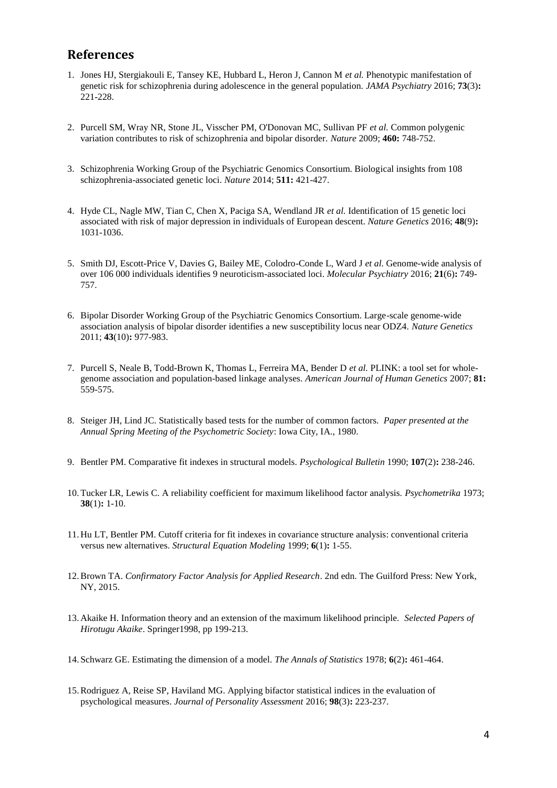## **References**

- 1. Jones HJ, Stergiakouli E, Tansey KE, Hubbard L, Heron J, Cannon M *et al.* Phenotypic manifestation of genetic risk for schizophrenia during adolescence in the general population. *JAMA Psychiatry* 2016; **73**(3)**:**  221-228.
- 2. Purcell SM, Wray NR, Stone JL, Visscher PM, O'Donovan MC, Sullivan PF *et al.* Common polygenic variation contributes to risk of schizophrenia and bipolar disorder. *Nature* 2009; **460:** 748-752.
- 3. Schizophrenia Working Group of the Psychiatric Genomics Consortium. Biological insights from 108 schizophrenia-associated genetic loci. *Nature* 2014; **511:** 421-427.
- 4. Hyde CL, Nagle MW, Tian C, Chen X, Paciga SA, Wendland JR *et al.* Identification of 15 genetic loci associated with risk of major depression in individuals of European descent. *Nature Genetics* 2016; **48**(9)**:**  1031-1036.
- 5. Smith DJ, Escott-Price V, Davies G, Bailey ME, Colodro-Conde L, Ward J *et al.* Genome-wide analysis of over 106 000 individuals identifies 9 neuroticism-associated loci. *Molecular Psychiatry* 2016; **21**(6)**:** 749- 757.
- 6. Bipolar Disorder Working Group of the Psychiatric Genomics Consortium. Large-scale genome-wide association analysis of bipolar disorder identifies a new susceptibility locus near ODZ4. *Nature Genetics* 2011; **43**(10)**:** 977-983.
- 7. Purcell S, Neale B, Todd-Brown K, Thomas L, Ferreira MA, Bender D *et al.* PLINK: a tool set for wholegenome association and population-based linkage analyses. *American Journal of Human Genetics* 2007; **81:**  559-575.
- 8. Steiger JH, Lind JC. Statistically based tests for the number of common factors. *Paper presented at the Annual Spring Meeting of the Psychometric Society*: Iowa City, IA., 1980.
- 9. Bentler PM. Comparative fit indexes in structural models. *Psychological Bulletin* 1990; **107**(2)**:** 238-246.
- 10.Tucker LR, Lewis C. A reliability coefficient for maximum likelihood factor analysis. *Psychometrika* 1973; **38**(1)**:** 1-10.
- 11. Hu LT, Bentler PM. Cutoff criteria for fit indexes in covariance structure analysis: conventional criteria versus new alternatives. *Structural Equation Modeling* 1999; **6**(1)**:** 1-55.
- 12.Brown TA. *Confirmatory Factor Analysis for Applied Research*. 2nd edn. The Guilford Press: New York, NY, 2015.
- 13. Akaike H. Information theory and an extension of the maximum likelihood principle. *Selected Papers of Hirotugu Akaike*. Springer1998, pp 199-213.
- 14. Schwarz GE. Estimating the dimension of a model. *The Annals of Statistics* 1978; **6**(2)**:** 461-464.
- 15.Rodriguez A, Reise SP, Haviland MG. Applying bifactor statistical indices in the evaluation of psychological measures. *Journal of Personality Assessment* 2016; **98**(3)**:** 223-237.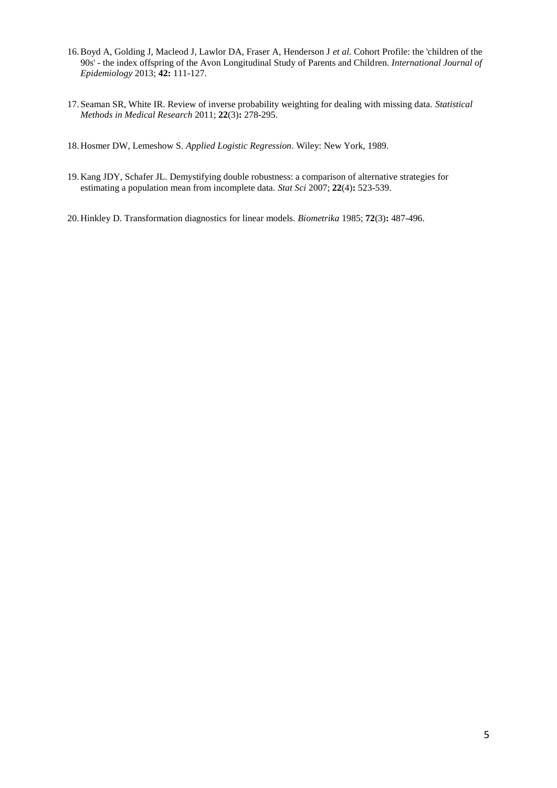- 16.Boyd A, Golding J, Macleod J, Lawlor DA, Fraser A, Henderson J *et al.* Cohort Profile: the 'children of the 90s' - the index offspring of the Avon Longitudinal Study of Parents and Children. *International Journal of Epidemiology* 2013; **42:** 111-127.
- 17. Seaman SR, White IR. Review of inverse probability weighting for dealing with missing data. *Statistical Methods in Medical Research* 2011; **22**(3)**:** 278-295.
- 18. Hosmer DW, Lemeshow S. *Applied Logistic Regression*. Wiley: New York, 1989.
- 19. Kang JDY, Schafer JL. Demystifying double robustness: a comparison of alternative strategies for estimating a population mean from incomplete data. *Stat Sci* 2007; **22**(4)**:** 523-539.
- 20. Hinkley D. Transformation diagnostics for linear models. *Biometrika* 1985; **72**(3)**:** 487-496.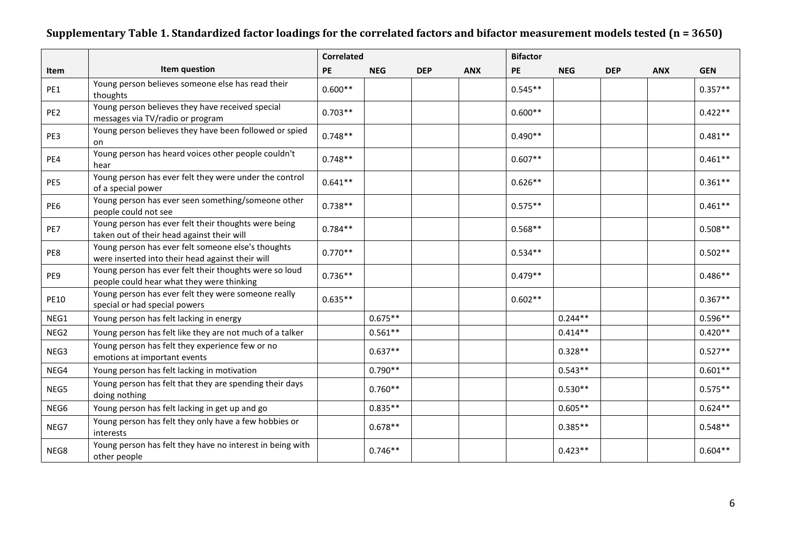# **Supplementary Table 1. Standardized factor loadings for the correlated factors and bifactor measurement models tested (n = 3650)**

|                 |                                                                                                        | <b>Correlated</b> |            |            |            | <b>Bifactor</b> |            |            |            |            |
|-----------------|--------------------------------------------------------------------------------------------------------|-------------------|------------|------------|------------|-----------------|------------|------------|------------|------------|
| Item            | Item question                                                                                          | <b>PE</b>         | <b>NEG</b> | <b>DEP</b> | <b>ANX</b> | PE              | <b>NEG</b> | <b>DEP</b> | <b>ANX</b> | <b>GEN</b> |
| PE1             | Young person believes someone else has read their<br>thoughts                                          | $0.600**$         |            |            |            | $0.545**$       |            |            |            | $0.357**$  |
| PE <sub>2</sub> | Young person believes they have received special<br>messages via TV/radio or program                   | $0.703**$         |            |            |            | $0.600**$       |            |            |            | $0.422**$  |
| PE3             | Young person believes they have been followed or spied<br>on                                           | $0.748**$         |            |            |            | $0.490**$       |            |            |            | $0.481**$  |
| PE4             | Young person has heard voices other people couldn't<br>hear                                            | $0.748**$         |            |            |            | $0.607**$       |            |            |            | $0.461**$  |
| PE5             | Young person has ever felt they were under the control<br>of a special power                           | $0.641**$         |            |            |            | $0.626**$       |            |            |            | $0.361**$  |
| PE6             | Young person has ever seen something/someone other<br>people could not see                             | $0.738**$         |            |            |            | $0.575**$       |            |            |            | $0.461**$  |
| PE7             | Young person has ever felt their thoughts were being<br>taken out of their head against their will     | $0.784**$         |            |            |            | $0.568**$       |            |            |            | $0.508**$  |
| PE8             | Young person has ever felt someone else's thoughts<br>were inserted into their head against their will | $0.770**$         |            |            |            | $0.534**$       |            |            |            | $0.502**$  |
| PE9             | Young person has ever felt their thoughts were so loud<br>people could hear what they were thinking    | $0.736**$         |            |            |            | $0.479**$       |            |            |            | $0.486**$  |
| <b>PE10</b>     | Young person has ever felt they were someone really<br>special or had special powers                   | $0.635**$         |            |            |            | $0.602**$       |            |            |            | $0.367**$  |
| NEG1            | Young person has felt lacking in energy                                                                |                   | $0.675**$  |            |            |                 | $0.244**$  |            |            | $0.596**$  |
| NEG2            | Young person has felt like they are not much of a talker                                               |                   | $0.561**$  |            |            |                 | $0.414**$  |            |            | $0.420**$  |
| NEG3            | Young person has felt they experience few or no<br>emotions at important events                        |                   | $0.637**$  |            |            |                 | $0.328**$  |            |            | $0.527**$  |
| NEG4            | Young person has felt lacking in motivation                                                            |                   | $0.790**$  |            |            |                 | $0.543**$  |            |            | $0.601**$  |
| NEG5            | Young person has felt that they are spending their days<br>doing nothing                               |                   | $0.760**$  |            |            |                 | $0.530**$  |            |            | $0.575**$  |
| NEG6            | Young person has felt lacking in get up and go                                                         |                   | $0.835**$  |            |            |                 | $0.605**$  |            |            | $0.624**$  |
| NEG7            | Young person has felt they only have a few hobbies or<br>interests                                     |                   | $0.678**$  |            |            |                 | $0.385**$  |            |            | $0.548**$  |
| NEG8            | Young person has felt they have no interest in being with<br>other people                              |                   | $0.746**$  |            |            |                 | $0.423**$  |            |            | $0.604**$  |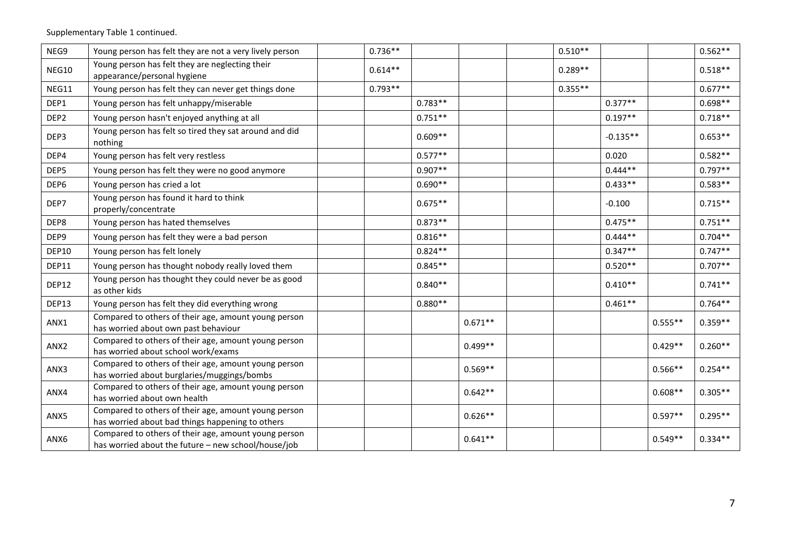Supplementary Table 1 continued.

| NEG9             | Young person has felt they are not a very lively person                                                     | $0.736**$ |           |           | $0.510**$ |            |           | $0.562**$ |
|------------------|-------------------------------------------------------------------------------------------------------------|-----------|-----------|-----------|-----------|------------|-----------|-----------|
| NEG10            | Young person has felt they are neglecting their<br>appearance/personal hygiene                              | $0.614**$ |           |           | $0.289**$ |            |           | $0.518**$ |
| NEG11            | Young person has felt they can never get things done                                                        | $0.793**$ |           |           | $0.355**$ |            |           | $0.677**$ |
| DEP1             | Young person has felt unhappy/miserable                                                                     |           | $0.783**$ |           |           | $0.377**$  |           | $0.698**$ |
| DEP <sub>2</sub> | Young person hasn't enjoyed anything at all                                                                 |           | $0.751**$ |           |           | $0.197**$  |           | $0.718**$ |
| DEP3             | Young person has felt so tired they sat around and did<br>nothing                                           |           | $0.609**$ |           |           | $-0.135**$ |           | $0.653**$ |
| DEP4             | Young person has felt very restless                                                                         |           | $0.577**$ |           |           | 0.020      |           | $0.582**$ |
| DEP5             | Young person has felt they were no good anymore                                                             |           | $0.907**$ |           |           | $0.444**$  |           | $0.797**$ |
| DEP6             | Young person has cried a lot                                                                                |           | $0.690**$ |           |           | $0.433**$  |           | $0.583**$ |
| DEP7             | Young person has found it hard to think<br>properly/concentrate                                             |           | $0.675**$ |           |           | $-0.100$   |           | $0.715**$ |
| DEP8             | Young person has hated themselves                                                                           |           | $0.873**$ |           |           | $0.475**$  |           | $0.751**$ |
| DEP9             | Young person has felt they were a bad person                                                                |           | $0.816**$ |           |           | $0.444**$  |           | $0.704**$ |
| DEP10            | Young person has felt lonely                                                                                |           | $0.824**$ |           |           | $0.347**$  |           | $0.747**$ |
| DEP11            | Young person has thought nobody really loved them                                                           |           | $0.845**$ |           |           | $0.520**$  |           | $0.707**$ |
| DEP12            | Young person has thought they could never be as good<br>as other kids                                       |           | $0.840**$ |           |           | $0.410**$  |           | $0.741**$ |
| DEP13            | Young person has felt they did everything wrong                                                             |           | $0.880**$ |           |           | $0.461**$  |           | $0.764**$ |
| ANX1             | Compared to others of their age, amount young person<br>has worried about own past behaviour                |           |           | $0.671**$ |           |            | $0.555**$ | $0.359**$ |
| ANX2             | Compared to others of their age, amount young person<br>has worried about school work/exams                 |           |           | $0.499**$ |           |            | $0.429**$ | $0.260**$ |
| ANX3             | Compared to others of their age, amount young person<br>has worried about burglaries/muggings/bombs         |           |           | $0.569**$ |           |            | $0.566**$ | $0.254**$ |
| ANX4             | Compared to others of their age, amount young person<br>has worried about own health                        |           |           | $0.642**$ |           |            | $0.608**$ | $0.305**$ |
| ANX5             | Compared to others of their age, amount young person<br>has worried about bad things happening to others    |           |           | $0.626**$ |           |            | $0.597**$ | $0.295**$ |
| ANX6             | Compared to others of their age, amount young person<br>has worried about the future - new school/house/job |           |           | $0.641**$ |           |            | $0.549**$ | $0.334**$ |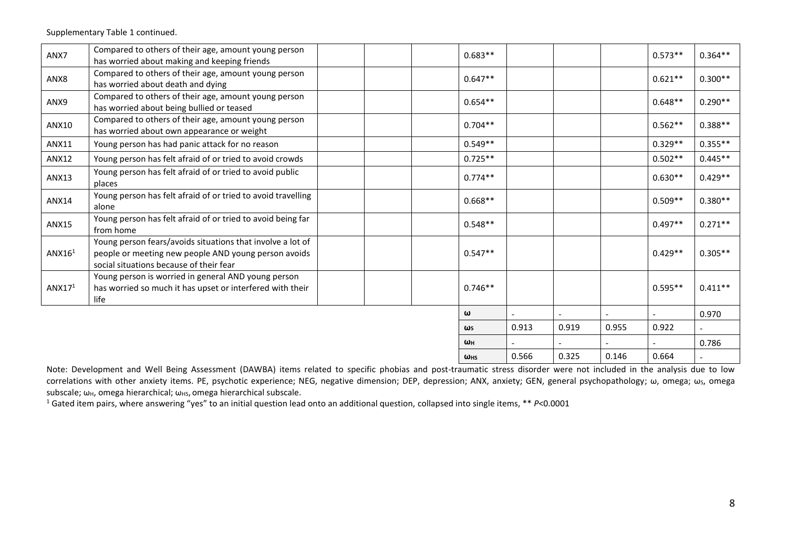Supplementary Table 1 continued.

| ANX7               | Compared to others of their age, amount young person<br>has worried about making and keeping friends                                                          |  | $0.683**$  |       |       |       | $0.573**$ | $0.364**$ |
|--------------------|---------------------------------------------------------------------------------------------------------------------------------------------------------------|--|------------|-------|-------|-------|-----------|-----------|
| ANX8               | Compared to others of their age, amount young person<br>has worried about death and dying                                                                     |  | $0.647**$  |       |       |       | $0.621**$ | $0.300**$ |
| ANX9               | Compared to others of their age, amount young person<br>has worried about being bullied or teased                                                             |  | $0.654**$  |       |       |       | $0.648**$ | $0.290**$ |
| ANX10              | Compared to others of their age, amount young person<br>has worried about own appearance or weight                                                            |  | $0.704**$  |       |       |       | $0.562**$ | $0.388**$ |
| <b>ANX11</b>       | Young person has had panic attack for no reason                                                                                                               |  | $0.549**$  |       |       |       | $0.329**$ | $0.355**$ |
| <b>ANX12</b>       | Young person has felt afraid of or tried to avoid crowds                                                                                                      |  | $0.725**$  |       |       |       | $0.502**$ | $0.445**$ |
| <b>ANX13</b>       | Young person has felt afraid of or tried to avoid public<br>places                                                                                            |  | $0.774**$  |       |       |       | $0.630**$ | $0.429**$ |
| <b>ANX14</b>       | Young person has felt afraid of or tried to avoid travelling<br>alone                                                                                         |  | $0.668**$  |       |       |       | $0.509**$ | $0.380**$ |
| <b>ANX15</b>       | Young person has felt afraid of or tried to avoid being far<br>from home                                                                                      |  | $0.548**$  |       |       |       | $0.497**$ | $0.271**$ |
| ANX16 <sup>1</sup> | Young person fears/avoids situations that involve a lot of<br>people or meeting new people AND young person avoids<br>social situations because of their fear |  | $0.547**$  |       |       |       | $0.429**$ | $0.305**$ |
| ANX17 <sup>1</sup> | Young person is worried in general AND young person<br>has worried so much it has upset or interfered with their<br>life                                      |  | $0.746**$  |       |       |       | $0.595**$ | $0.411**$ |
|                    |                                                                                                                                                               |  | ω          |       |       |       |           | 0.970     |
|                    |                                                                                                                                                               |  | $\omega$ s | 0.913 | 0.919 | 0.955 | 0.922     |           |
|                    |                                                                                                                                                               |  | WH         |       |       |       |           | 0.786     |
|                    |                                                                                                                                                               |  | <b>WHS</b> | 0.566 | 0.325 | 0.146 | 0.664     |           |

Note: Development and Well Being Assessment (DAWBA) items related to specific phobias and post-traumatic stress disorder were not included in the analysis due to low correlations with other anxiety items. PE, psychotic experience; NEG, negative dimension; DEP, depression; ANX, anxiety; GEN, general psychopathology; ω, omega; ωs, omega subscale; ω<sub>H</sub>, omega hierarchical; ω<sub>HS</sub>, omega hierarchical subscale.

<sup>1</sup> Gated item pairs, where answering "yes" to an initial question lead onto an additional question, collapsed into single items, \*\* *P*<0.0001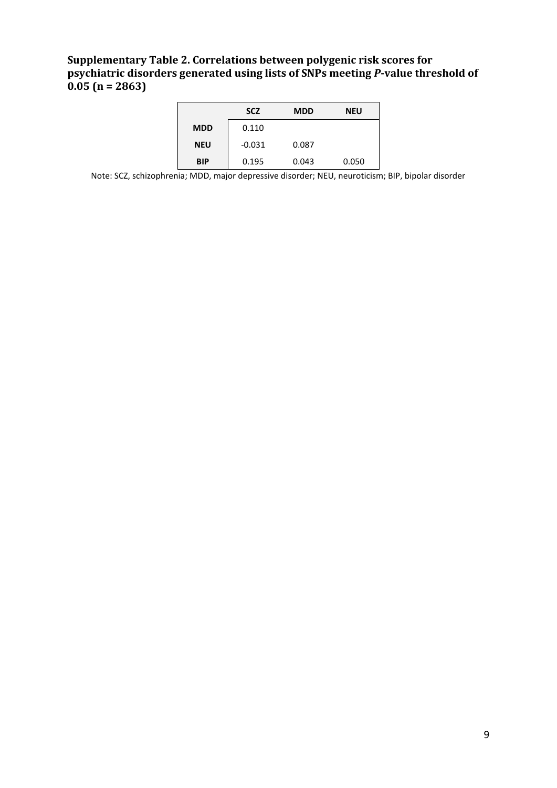## **Supplementary Table 2. Correlations between polygenic risk scores for psychiatric disorders generated using lists of SNPs meeting** *P***-value threshold of 0.05 (n = 2863)**

|            | <b>SCZ</b> | <b>MDD</b> | <b>NEU</b> |
|------------|------------|------------|------------|
| <b>MDD</b> | 0.110      |            |            |
| <b>NEU</b> | $-0.031$   | 0.087      |            |
| <b>BIP</b> | 0.195      | 0.043      | 0.050      |

Note: SCZ, schizophrenia; MDD, major depressive disorder; NEU, neuroticism; BIP, bipolar disorder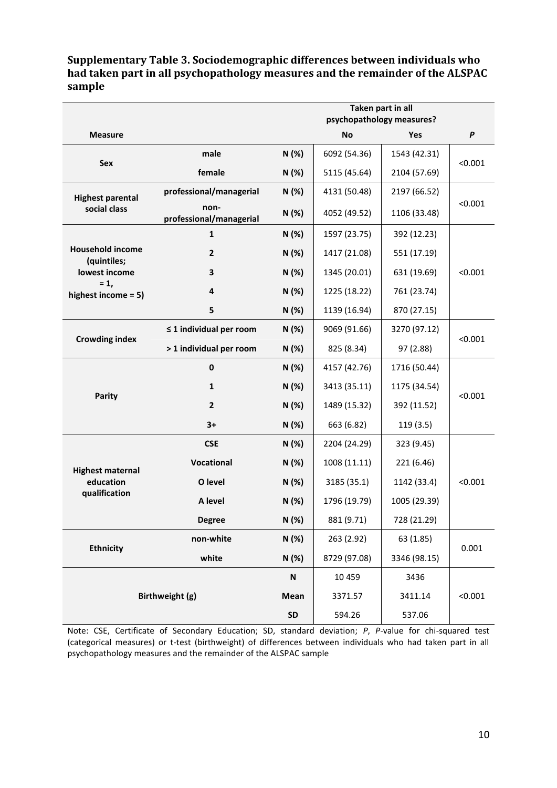## **Supplementary Table 3. Sociodemographic differences between individuals who had taken part in all psychopathology measures and the remainder of the ALSPAC sample**

|                                        |                                 |           | Taken part in all<br>psychopathology measures? |              |         |  |  |
|----------------------------------------|---------------------------------|-----------|------------------------------------------------|--------------|---------|--|--|
| <b>Measure</b>                         |                                 |           | <b>No</b>                                      | Yes          | P       |  |  |
|                                        | male                            | N (%)     | 6092 (54.36)                                   | 1543 (42.31) |         |  |  |
| Sex                                    | female                          | N (%)     | 5115 (45.64)                                   | 2104 (57.69) | < 0.001 |  |  |
| <b>Highest parental</b>                | professional/managerial         | N (%)     | 4131 (50.48)                                   | 2197 (66.52) |         |  |  |
| social class                           | non-<br>professional/managerial | N (%)     | 4052 (49.52)                                   | 1106 (33.48) | < 0.001 |  |  |
|                                        | $\mathbf{1}$                    | N (%)     | 1597 (23.75)                                   | 392 (12.23)  |         |  |  |
| <b>Household income</b><br>(quintiles; | $\mathbf{2}$                    | N (%)     | 1417 (21.08)                                   | 551 (17.19)  |         |  |  |
| lowest income                          | 3                               | N (%)     | 1345 (20.01)                                   | 631 (19.69)  | < 0.001 |  |  |
| $= 1,$<br>highest income = 5)          | 4                               | N (%)     | 1225 (18.22)                                   | 761 (23.74)  |         |  |  |
|                                        | 5                               | N (%)     | 1139 (16.94)                                   | 870 (27.15)  |         |  |  |
| <b>Crowding index</b>                  | $\leq$ 1 individual per room    | N (%)     | 9069 (91.66)                                   | 3270 (97.12) |         |  |  |
|                                        | > 1 individual per room         | N (%)     | 825 (8.34)                                     | 97 (2.88)    | < 0.001 |  |  |
|                                        | $\pmb{0}$                       | N (%)     | 4157 (42.76)                                   | 1716 (50.44) |         |  |  |
|                                        | $\mathbf{1}$                    | N (%)     | 3413 (35.11)                                   | 1175 (34.54) | < 0.001 |  |  |
| <b>Parity</b>                          | $\mathbf{2}$                    | N (%)     | 1489 (15.32)                                   | 392 (11.52)  |         |  |  |
|                                        | $3+$                            | N (%)     | 663 (6.82)                                     | 119 (3.5)    |         |  |  |
|                                        | <b>CSE</b>                      | N (%)     | 2204 (24.29)                                   | 323 (9.45)   |         |  |  |
| <b>Highest maternal</b>                | Vocational                      | N (%)     | 1008 (11.11)                                   | 221 (6.46)   |         |  |  |
| education                              | O level                         | N (%)     | 3185 (35.1)                                    | 1142 (33.4)  | < 0.001 |  |  |
| qualification                          | A level                         | N (%)     | 1796 (19.79)                                   | 1005 (29.39) |         |  |  |
|                                        | Degree                          | N(%)      | 881 (9.71)                                     | 728 (21.29)  |         |  |  |
|                                        | non-white                       | N (%)     | 263 (2.92)                                     | 63 (1.85)    |         |  |  |
| <b>Ethnicity</b>                       | white                           | N (%)     | 8729 (97.08)                                   | 3346 (98.15) | 0.001   |  |  |
|                                        |                                 | N         | 10 459                                         | 3436         |         |  |  |
| Birthweight (g)                        | Mean                            | 3371.57   | 3411.14                                        | < 0.001      |         |  |  |
|                                        |                                 | <b>SD</b> | 594.26                                         | 537.06       |         |  |  |

Note: CSE, Certificate of Secondary Education; SD, standard deviation; *P*, *P*-value for chi-squared test (categorical measures) or t-test (birthweight) of differences between individuals who had taken part in all psychopathology measures and the remainder of the ALSPAC sample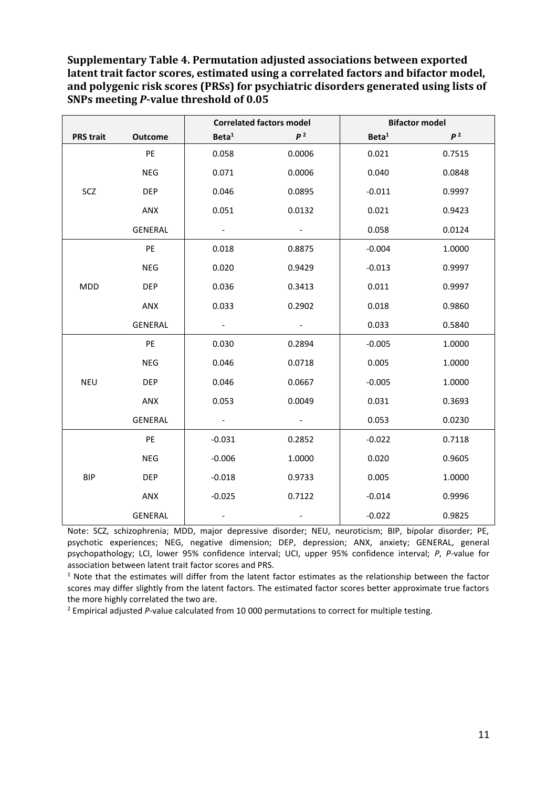**Supplementary Table 4. Permutation adjusted associations between exported latent trait factor scores, estimated using a correlated factors and bifactor model, and polygenic risk scores (PRSs) for psychiatric disorders generated using lists of SNPs meeting** *P***-value threshold of 0.05**

|                  |                | <b>Correlated factors model</b> |                          |                   | <b>Bifactor model</b> |
|------------------|----------------|---------------------------------|--------------------------|-------------------|-----------------------|
| <b>PRS trait</b> | <b>Outcome</b> | Beta <sup>1</sup>               | p <sup>2</sup>           | Beta <sup>1</sup> | p <sup>2</sup>        |
|                  | PE             | 0.058                           | 0.0006                   | 0.021             | 0.7515                |
|                  | <b>NEG</b>     | 0.071                           | 0.0006                   | 0.040             | 0.0848                |
| SCZ              | <b>DEP</b>     | 0.046                           | 0.0895                   | $-0.011$          | 0.9997                |
|                  | ANX            | 0.051                           | 0.0132                   | 0.021             | 0.9423                |
|                  | GENERAL        |                                 | $\blacksquare$           | 0.058             | 0.0124                |
|                  | PE             | 0.018                           | 0.8875                   | $-0.004$          | 1.0000                |
|                  | <b>NEG</b>     | 0.020                           | 0.9429                   | $-0.013$          | 0.9997                |
| <b>MDD</b>       | <b>DEP</b>     | 0.036                           | 0.3413                   | 0.011             | 0.9997                |
|                  | ANX            | 0.033                           | 0.2902                   | 0.018             | 0.9860                |
|                  | GENERAL        | $\overline{\phantom{a}}$        | $\overline{\phantom{a}}$ | 0.033             | 0.5840                |
|                  | PE             | 0.030                           | 0.2894                   | $-0.005$          | 1.0000                |
|                  | <b>NEG</b>     | 0.046                           | 0.0718                   | 0.005             | 1.0000                |
| <b>NEU</b>       | <b>DEP</b>     | 0.046                           | 0.0667                   | $-0.005$          | 1.0000                |
|                  | ANX            | 0.053                           | 0.0049                   | 0.031             | 0.3693                |
|                  | GENERAL        |                                 | $\blacksquare$           | 0.053             | 0.0230                |
|                  | PE             | $-0.031$                        | 0.2852                   | $-0.022$          | 0.7118                |
|                  | <b>NEG</b>     | $-0.006$                        | 1.0000                   | 0.020             | 0.9605                |
| <b>BIP</b>       | <b>DEP</b>     | $-0.018$                        | 0.9733                   | 0.005             | 1.0000                |
|                  | ANX            | $-0.025$                        | 0.7122                   | $-0.014$          | 0.9996                |
|                  | <b>GENERAL</b> |                                 |                          | $-0.022$          | 0.9825                |

Note: SCZ, schizophrenia; MDD, major depressive disorder; NEU, neuroticism; BIP, bipolar disorder; PE, psychotic experiences; NEG, negative dimension; DEP, depression; ANX, anxiety; GENERAL, general psychopathology; LCI, lower 95% confidence interval; UCI, upper 95% confidence interval; *P*, *P*-value for association between latent trait factor scores and PRS.

 $1$  Note that the estimates will differ from the latent factor estimates as the relationship between the factor scores may differ slightly from the latent factors. The estimated factor scores better approximate true factors the more highly correlated the two are.

<sup>2</sup> Empirical adjusted *P*-value calculated from 10 000 permutations to correct for multiple testing.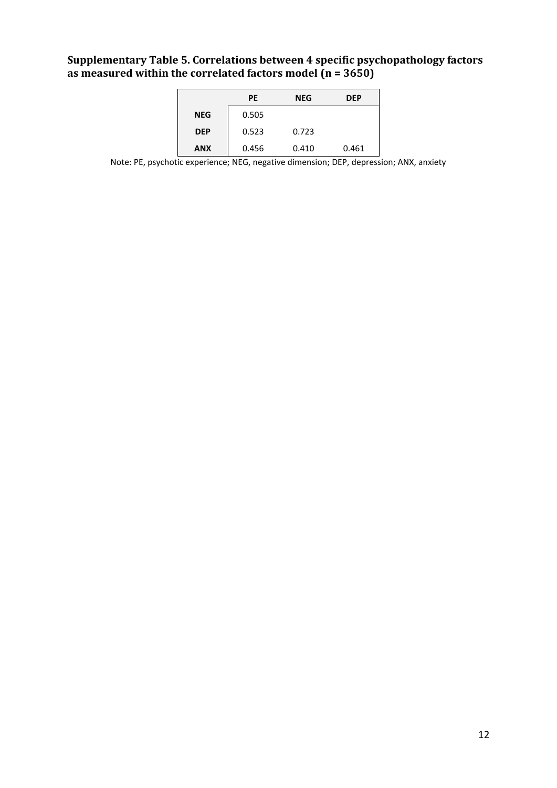# **Supplementary Table 5. Correlations between 4 specific psychopathology factors as measured within the correlated factors model (n = 3650)**

|            | <b>PE</b> | <b>NEG</b> | <b>DEP</b> |
|------------|-----------|------------|------------|
| <b>NEG</b> | 0.505     |            |            |
| <b>DEP</b> | 0.523     | 0.723      |            |
| <b>ANX</b> | 0.456     | 0.410      | 0.461      |

Note: PE, psychotic experience; NEG, negative dimension; DEP, depression; ANX, anxiety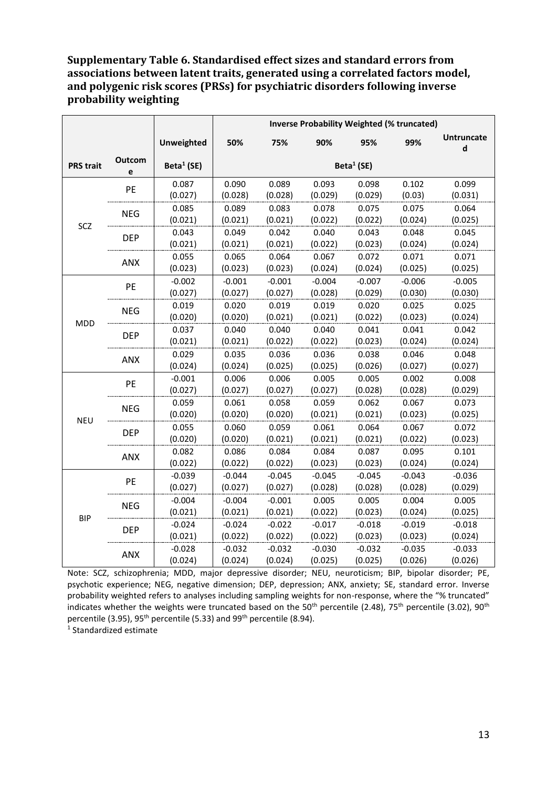### **Supplementary Table 6. Standardised effect sizes and standard errors from associations between latent traits, generated using a correlated factors model, and polygenic risk scores (PRSs) for psychiatric disorders following inverse probability weighting**

|                  |             |                     | <b>Inverse Probability Weighted (% truncated)</b> |                     |                     |                     |                     |                        |  |
|------------------|-------------|---------------------|---------------------------------------------------|---------------------|---------------------|---------------------|---------------------|------------------------|--|
|                  |             | <b>Unweighted</b>   | 50%                                               | 75%                 | 90%                 | 95%                 | 99%                 | <b>Untruncate</b><br>d |  |
| <b>PRS trait</b> | Outcom<br>e | Beta $1$ (SE)       |                                                   |                     |                     | Beta $1$ (SE)       |                     |                        |  |
|                  | PE          | 0.087<br>(0.027)    | 0.090<br>(0.028)                                  | 0.089<br>(0.028)    | 0.093<br>(0.029)    | 0.098<br>(0.029)    | 0.102<br>(0.03)     | 0.099<br>(0.031)       |  |
| SCZ              | <b>NEG</b>  | 0.085<br>(0.021)    | 0.089<br>(0.021)                                  | 0.083<br>(0.021)    | 0.078<br>(0.022)    | 0.075<br>(0.022)    | 0.075<br>(0.024)    | 0.064<br>(0.025)       |  |
|                  | <b>DEP</b>  | 0.043<br>(0.021)    | 0.049<br>(0.021)                                  | 0.042<br>(0.021)    | 0.040<br>(0.022)    | 0.043<br>(0.023)    | 0.048<br>(0.024)    | 0.045<br>(0.024)       |  |
|                  | ANX         | 0.055<br>(0.023)    | 0.065<br>(0.023)                                  | 0.064<br>(0.023)    | 0.067<br>(0.024)    | 0.072<br>(0.024)    | 0.071<br>(0.025)    | 0.071<br>(0.025)       |  |
| <b>MDD</b>       | PE          | $-0.002$<br>(0.027) | $-0.001$<br>(0.027)                               | $-0.001$<br>(0.027) | $-0.004$<br>(0.028) | $-0.007$<br>(0.029) | $-0.006$<br>(0.030) | $-0.005$<br>(0.030)    |  |
|                  | <b>NEG</b>  | 0.019<br>(0.020)    | 0.020<br>(0.020)                                  | 0.019<br>(0.021)    | 0.019<br>(0.021)    | 0.020<br>(0.022)    | 0.025<br>(0.023)    | 0.025<br>(0.024)       |  |
|                  | <b>DEP</b>  | 0.037<br>(0.021)    | 0.040<br>(0.021)                                  | 0.040<br>(0.022)    | 0.040<br>(0.022)    | 0.041<br>(0.023)    | 0.041<br>(0.024)    | 0.042<br>(0.024)       |  |
|                  | ANX         | 0.029<br>(0.024)    | 0.035<br>(0.024)                                  | 0.036<br>(0.025)    | 0.036<br>(0.025)    | 0.038<br>(0.026)    | 0.046<br>(0.027)    | 0.048<br>(0.027)       |  |
|                  | PE          | $-0.001$<br>(0.027) | 0.006<br>(0.027)                                  | 0.006<br>(0.027)    | 0.005<br>(0.027)    | 0.005<br>(0.028)    | 0.002<br>(0.028)    | 0.008<br>(0.029)       |  |
|                  | <b>NEG</b>  | 0.059<br>(0.020)    | 0.061<br>(0.020)                                  | 0.058<br>(0.020)    | 0.059<br>(0.021)    | 0.062<br>(0.021)    | 0.067<br>(0.023)    | 0.073<br>(0.025)       |  |
| <b>NEU</b>       | <b>DEP</b>  | 0.055<br>(0.020)    | 0.060<br>(0.020)                                  | 0.059<br>(0.021)    | 0.061<br>(0.021)    | 0.064<br>(0.021)    | 0.067<br>(0.022)    | 0.072<br>(0.023)       |  |
|                  | ANX         | 0.082<br>(0.022)    | 0.086<br>(0.022)                                  | 0.084<br>(0.022)    | 0.084<br>(0.023)    | 0.087<br>(0.023)    | 0.095<br>(0.024)    | 0.101<br>(0.024)       |  |
|                  | PE          | $-0.039$<br>(0.027) | $-0.044$<br>(0.027)                               | $-0.045$<br>(0.027) | $-0.045$<br>(0.028) | $-0.045$<br>(0.028) | $-0.043$<br>(0.028) | $-0.036$<br>(0.029)    |  |
|                  | <b>NEG</b>  | $-0.004$<br>(0.021) | $-0.004$<br>(0.021)                               | $-0.001$<br>(0.021) | 0.005<br>(0.022)    | 0.005<br>(0.023)    | 0.004<br>(0.024)    | 0.005<br>(0.025)       |  |
| <b>BIP</b>       | <b>DEP</b>  | $-0.024$<br>(0.021) | $-0.024$<br>(0.022)                               | $-0.022$<br>(0.022) | $-0.017$<br>(0.022) | $-0.018$<br>(0.023) | $-0.019$<br>(0.023) | $-0.018$<br>(0.024)    |  |
|                  | <b>ANX</b>  | $-0.028$<br>(0.024) | $-0.032$<br>(0.024)                               | $-0.032$<br>(0.024) | $-0.030$<br>(0.025) | $-0.032$<br>(0.025) | $-0.035$<br>(0.026) | $-0.033$<br>(0.026)    |  |

Note: SCZ, schizophrenia; MDD, major depressive disorder; NEU, neuroticism; BIP, bipolar disorder; PE, psychotic experience; NEG, negative dimension; DEP, depression; ANX, anxiety; SE, standard error. Inverse probability weighted refers to analyses including sampling weights for non-response, where the "% truncated" indicates whether the weights were truncated based on the 50<sup>th</sup> percentile (2.48), 75<sup>th</sup> percentile (3.02), 90<sup>th</sup> percentile (3.95), 95<sup>th</sup> percentile (5.33) and 99<sup>th</sup> percentile (8.94).

1 Standardized estimate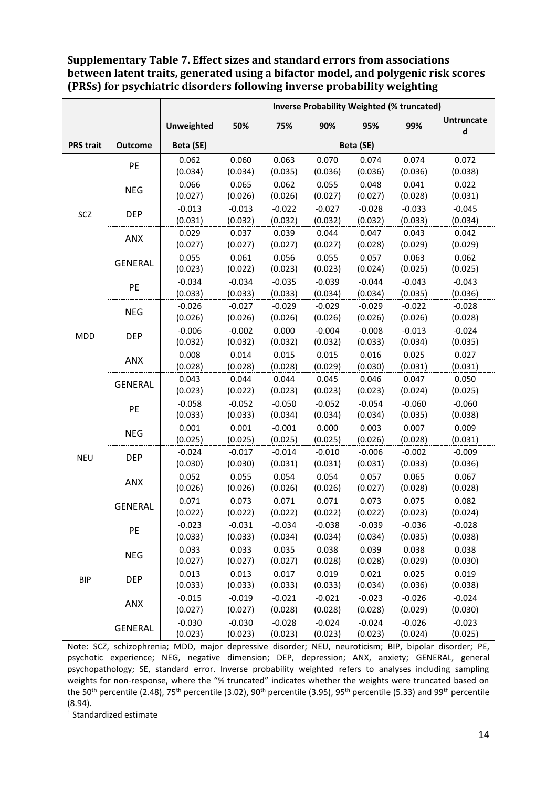### **Supplementary Table 7. Effect sizes and standard errors from associations between latent traits, generated using a bifactor model, and polygenic risk scores (PRSs) for psychiatric disorders following inverse probability weighting**

| <b>Untruncate</b><br>99%<br><b>Unweighted</b><br>50%<br>75%<br>90%<br>95%<br>d<br>Beta (SE)<br>Beta (SE)<br><b>PRS trait</b><br><b>Outcome</b><br>0.063<br>0.070<br>0.074<br>0.074<br>0.072<br>0.062<br>0.060<br>PE<br>(0.034)<br>(0.034)<br>(0.035)<br>(0.036)<br>(0.036)<br>(0.038)<br>(0.036)<br>0.066<br>0.065<br>0.062<br>0.055<br>0.048<br>0.041<br>0.022<br><b>NEG</b><br>(0.027)<br>(0.027)<br>(0.026)<br>(0.026)<br>(0.027)<br>(0.028)<br>(0.031)<br>$-0.013$<br>$-0.022$<br>$-0.027$<br>$-0.045$<br>$-0.013$<br>$-0.028$<br>$-0.033$<br>SCZ<br><b>DEP</b><br>(0.031)<br>(0.032)<br>(0.032)<br>(0.034)<br>(0.032)<br>(0.032)<br>(0.033)<br>0.029<br>0.037<br>0.039<br>0.044<br>0.047<br>0.043<br>0.042<br>ANX<br>(0.027)<br>(0.027)<br>(0.027)<br>(0.027)<br>(0.028)<br>(0.029)<br>(0.029)<br>0.055<br>0.061<br>0.056<br>0.055<br>0.063<br>0.062<br>0.057<br><b>GENERAL</b><br>(0.023)<br>(0.022)<br>(0.023)<br>(0.023)<br>(0.024)<br>(0.025)<br>(0.025)<br>$-0.034$<br>$-0.034$<br>$-0.035$<br>$-0.039$<br>$-0.044$<br>$-0.043$<br>$-0.043$ |  |                | <b>Inverse Probability Weighted (% truncated)</b> |  |  |  |  |  |  |
|-------------------------------------------------------------------------------------------------------------------------------------------------------------------------------------------------------------------------------------------------------------------------------------------------------------------------------------------------------------------------------------------------------------------------------------------------------------------------------------------------------------------------------------------------------------------------------------------------------------------------------------------------------------------------------------------------------------------------------------------------------------------------------------------------------------------------------------------------------------------------------------------------------------------------------------------------------------------------------------------------------------------------------------------------------|--|----------------|---------------------------------------------------|--|--|--|--|--|--|
|                                                                                                                                                                                                                                                                                                                                                                                                                                                                                                                                                                                                                                                                                                                                                                                                                                                                                                                                                                                                                                                       |  |                |                                                   |  |  |  |  |  |  |
|                                                                                                                                                                                                                                                                                                                                                                                                                                                                                                                                                                                                                                                                                                                                                                                                                                                                                                                                                                                                                                                       |  |                |                                                   |  |  |  |  |  |  |
|                                                                                                                                                                                                                                                                                                                                                                                                                                                                                                                                                                                                                                                                                                                                                                                                                                                                                                                                                                                                                                                       |  |                |                                                   |  |  |  |  |  |  |
|                                                                                                                                                                                                                                                                                                                                                                                                                                                                                                                                                                                                                                                                                                                                                                                                                                                                                                                                                                                                                                                       |  |                |                                                   |  |  |  |  |  |  |
|                                                                                                                                                                                                                                                                                                                                                                                                                                                                                                                                                                                                                                                                                                                                                                                                                                                                                                                                                                                                                                                       |  |                |                                                   |  |  |  |  |  |  |
|                                                                                                                                                                                                                                                                                                                                                                                                                                                                                                                                                                                                                                                                                                                                                                                                                                                                                                                                                                                                                                                       |  |                |                                                   |  |  |  |  |  |  |
|                                                                                                                                                                                                                                                                                                                                                                                                                                                                                                                                                                                                                                                                                                                                                                                                                                                                                                                                                                                                                                                       |  |                |                                                   |  |  |  |  |  |  |
|                                                                                                                                                                                                                                                                                                                                                                                                                                                                                                                                                                                                                                                                                                                                                                                                                                                                                                                                                                                                                                                       |  |                |                                                   |  |  |  |  |  |  |
|                                                                                                                                                                                                                                                                                                                                                                                                                                                                                                                                                                                                                                                                                                                                                                                                                                                                                                                                                                                                                                                       |  |                |                                                   |  |  |  |  |  |  |
|                                                                                                                                                                                                                                                                                                                                                                                                                                                                                                                                                                                                                                                                                                                                                                                                                                                                                                                                                                                                                                                       |  |                |                                                   |  |  |  |  |  |  |
|                                                                                                                                                                                                                                                                                                                                                                                                                                                                                                                                                                                                                                                                                                                                                                                                                                                                                                                                                                                                                                                       |  |                |                                                   |  |  |  |  |  |  |
|                                                                                                                                                                                                                                                                                                                                                                                                                                                                                                                                                                                                                                                                                                                                                                                                                                                                                                                                                                                                                                                       |  |                |                                                   |  |  |  |  |  |  |
|                                                                                                                                                                                                                                                                                                                                                                                                                                                                                                                                                                                                                                                                                                                                                                                                                                                                                                                                                                                                                                                       |  | PE             |                                                   |  |  |  |  |  |  |
| (0.033)<br>(0.033)<br>(0.033)<br>(0.034)<br>(0.034)<br>(0.036)<br>(0.035)                                                                                                                                                                                                                                                                                                                                                                                                                                                                                                                                                                                                                                                                                                                                                                                                                                                                                                                                                                             |  |                |                                                   |  |  |  |  |  |  |
| $-0.026$<br>$-0.027$<br>$-0.029$<br>$-0.029$<br>$-0.029$<br>$-0.022$<br>$-0.028$<br><b>NEG</b>                                                                                                                                                                                                                                                                                                                                                                                                                                                                                                                                                                                                                                                                                                                                                                                                                                                                                                                                                        |  |                |                                                   |  |  |  |  |  |  |
| (0.026)<br>(0.026)<br>(0.026)<br>(0.026)<br>(0.026)<br>(0.026)<br>(0.028)                                                                                                                                                                                                                                                                                                                                                                                                                                                                                                                                                                                                                                                                                                                                                                                                                                                                                                                                                                             |  |                |                                                   |  |  |  |  |  |  |
| $-0.006$<br>0.000<br>$-0.004$<br>$-0.008$<br>$-0.013$<br>$-0.024$<br>$-0.002$<br><b>DEP</b><br><b>MDD</b>                                                                                                                                                                                                                                                                                                                                                                                                                                                                                                                                                                                                                                                                                                                                                                                                                                                                                                                                             |  |                |                                                   |  |  |  |  |  |  |
| (0.032)<br>(0.032)<br>(0.032)<br>(0.032)<br>(0.033)<br>(0.034)<br>(0.035)                                                                                                                                                                                                                                                                                                                                                                                                                                                                                                                                                                                                                                                                                                                                                                                                                                                                                                                                                                             |  |                |                                                   |  |  |  |  |  |  |
| 0.008<br>0.015<br>0.015<br>0.025<br>0.014<br>0.016<br>0.027                                                                                                                                                                                                                                                                                                                                                                                                                                                                                                                                                                                                                                                                                                                                                                                                                                                                                                                                                                                           |  | ANX            |                                                   |  |  |  |  |  |  |
| (0.028)<br>(0.028)<br>(0.028)<br>(0.029)<br>(0.030)<br>(0.031)<br>(0.031)                                                                                                                                                                                                                                                                                                                                                                                                                                                                                                                                                                                                                                                                                                                                                                                                                                                                                                                                                                             |  |                |                                                   |  |  |  |  |  |  |
| 0.043<br>0.044<br>0.044<br>0.045<br>0.046<br>0.047<br>0.050                                                                                                                                                                                                                                                                                                                                                                                                                                                                                                                                                                                                                                                                                                                                                                                                                                                                                                                                                                                           |  | <b>GENERAL</b> |                                                   |  |  |  |  |  |  |
| (0.023)<br>(0.023)<br>(0.023)<br>(0.023)<br>(0.022)<br>(0.024)<br>(0.025)                                                                                                                                                                                                                                                                                                                                                                                                                                                                                                                                                                                                                                                                                                                                                                                                                                                                                                                                                                             |  |                |                                                   |  |  |  |  |  |  |
| $-0.058$<br>$-0.050$<br>$-0.052$<br>$-0.052$<br>$-0.054$<br>$-0.060$<br>$-0.060$<br>PE                                                                                                                                                                                                                                                                                                                                                                                                                                                                                                                                                                                                                                                                                                                                                                                                                                                                                                                                                                |  |                |                                                   |  |  |  |  |  |  |
| (0.033)<br>(0.033)<br>(0.034)<br>(0.034)<br>(0.034)<br>(0.035)<br>(0.038)                                                                                                                                                                                                                                                                                                                                                                                                                                                                                                                                                                                                                                                                                                                                                                                                                                                                                                                                                                             |  |                |                                                   |  |  |  |  |  |  |
| 0.000<br>0.001<br>0.001<br>$-0.001$<br>0.003<br>0.007<br>0.009<br><b>NEG</b>                                                                                                                                                                                                                                                                                                                                                                                                                                                                                                                                                                                                                                                                                                                                                                                                                                                                                                                                                                          |  |                |                                                   |  |  |  |  |  |  |
| (0.025)<br>(0.025)<br>(0.025)<br>(0.025)<br>(0.026)<br>(0.031)<br>(0.028)                                                                                                                                                                                                                                                                                                                                                                                                                                                                                                                                                                                                                                                                                                                                                                                                                                                                                                                                                                             |  |                |                                                   |  |  |  |  |  |  |
| $-0.024$<br>$-0.017$<br>$-0.014$<br>$-0.010$<br>$-0.006$<br>$-0.002$<br>$-0.009$<br><b>NEU</b><br><b>DEP</b><br>(0.030)<br>(0.030)<br>(0.031)<br>(0.031)<br>(0.033)<br>(0.036)                                                                                                                                                                                                                                                                                                                                                                                                                                                                                                                                                                                                                                                                                                                                                                                                                                                                        |  |                |                                                   |  |  |  |  |  |  |
| (0.031)<br>0.052<br>0.055<br>0.054<br>0.054<br>0.057<br>0.065<br>0.067                                                                                                                                                                                                                                                                                                                                                                                                                                                                                                                                                                                                                                                                                                                                                                                                                                                                                                                                                                                |  |                |                                                   |  |  |  |  |  |  |
| ANX<br>(0.026)<br>(0.026)<br>(0.026)<br>(0.026)<br>(0.027)<br>(0.028)<br>(0.028)                                                                                                                                                                                                                                                                                                                                                                                                                                                                                                                                                                                                                                                                                                                                                                                                                                                                                                                                                                      |  |                |                                                   |  |  |  |  |  |  |
| 0.071<br>0.071<br>0.075<br>0.071<br>0.073<br>0.073<br>0.082                                                                                                                                                                                                                                                                                                                                                                                                                                                                                                                                                                                                                                                                                                                                                                                                                                                                                                                                                                                           |  |                |                                                   |  |  |  |  |  |  |
| <b>GENERAL</b><br>(0.022)<br>(0.022)<br>(0.022)<br>(0.022)<br>(0.023)<br>(0.024)<br>(0.022)                                                                                                                                                                                                                                                                                                                                                                                                                                                                                                                                                                                                                                                                                                                                                                                                                                                                                                                                                           |  |                |                                                   |  |  |  |  |  |  |
| $-0.023$<br>$-0.031$<br>$-0.034$<br>$-0.038$<br>$-0.039$<br>$-0.036$<br>$-0.028$                                                                                                                                                                                                                                                                                                                                                                                                                                                                                                                                                                                                                                                                                                                                                                                                                                                                                                                                                                      |  |                |                                                   |  |  |  |  |  |  |
| PE<br>(0.033)<br>(0.033)<br>(0.034)<br>(0.034)<br>(0.034)<br>(0.035)<br>(0.038)                                                                                                                                                                                                                                                                                                                                                                                                                                                                                                                                                                                                                                                                                                                                                                                                                                                                                                                                                                       |  |                |                                                   |  |  |  |  |  |  |
| 0.033<br>0.038<br>0.033<br>0.035<br>0.039<br>0.038<br>0.038                                                                                                                                                                                                                                                                                                                                                                                                                                                                                                                                                                                                                                                                                                                                                                                                                                                                                                                                                                                           |  |                |                                                   |  |  |  |  |  |  |
| <b>NEG</b><br>(0.027)<br>(0.028)<br>(0.028)<br>(0.027)<br>(0.027)<br>(0.029)<br>(0.030)                                                                                                                                                                                                                                                                                                                                                                                                                                                                                                                                                                                                                                                                                                                                                                                                                                                                                                                                                               |  |                |                                                   |  |  |  |  |  |  |
| 0.013<br>0.013<br>0.017<br>0.019<br>0.021<br>0.025<br>0.019                                                                                                                                                                                                                                                                                                                                                                                                                                                                                                                                                                                                                                                                                                                                                                                                                                                                                                                                                                                           |  |                |                                                   |  |  |  |  |  |  |
| <b>DEP</b><br><b>BIP</b><br>(0.033)<br>(0.033)<br>(0.033)<br>(0.033)<br>(0.034)<br>(0.036)<br>(0.038)                                                                                                                                                                                                                                                                                                                                                                                                                                                                                                                                                                                                                                                                                                                                                                                                                                                                                                                                                 |  |                |                                                   |  |  |  |  |  |  |
| $-0.015$<br>$-0.019$<br>$-0.021$<br>$-0.021$<br>$-0.023$<br>$-0.026$<br>$-0.024$                                                                                                                                                                                                                                                                                                                                                                                                                                                                                                                                                                                                                                                                                                                                                                                                                                                                                                                                                                      |  |                |                                                   |  |  |  |  |  |  |
| ANX<br>(0.027)<br>(0.028)<br>(0.028)<br>(0.028)<br>(0.029)<br>(0.030)<br>(0.027)                                                                                                                                                                                                                                                                                                                                                                                                                                                                                                                                                                                                                                                                                                                                                                                                                                                                                                                                                                      |  |                |                                                   |  |  |  |  |  |  |
| $-0.030$<br>$-0.028$<br>$-0.024$<br>$-0.024$<br>$-0.030$<br>$-0.026$<br>$-0.023$                                                                                                                                                                                                                                                                                                                                                                                                                                                                                                                                                                                                                                                                                                                                                                                                                                                                                                                                                                      |  |                |                                                   |  |  |  |  |  |  |
| <b>GENERAL</b><br>(0.023)<br>(0.023)<br>(0.023)<br>(0.025)<br>(0.023)<br>(0.023)<br>(0.024)                                                                                                                                                                                                                                                                                                                                                                                                                                                                                                                                                                                                                                                                                                                                                                                                                                                                                                                                                           |  |                |                                                   |  |  |  |  |  |  |

Note: SCZ, schizophrenia; MDD, major depressive disorder; NEU, neuroticism; BIP, bipolar disorder; PE, psychotic experience; NEG, negative dimension; DEP, depression; ANX, anxiety; GENERAL, general psychopathology; SE, standard error. Inverse probability weighted refers to analyses including sampling weights for non-response, where the "% truncated" indicates whether the weights were truncated based on the 50<sup>th</sup> percentile (2.48), 75<sup>th</sup> percentile (3.02), 90<sup>th</sup> percentile (3.95), 95<sup>th</sup> percentile (5.33) and 99<sup>th</sup> percentile (8.94).

1 Standardized estimate